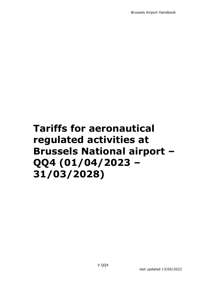Brussels Airport Handbook

# **Tariffs for aeronautical regulated activities at Brussels National airport – QQ4 (01/04/2023 – 31/03/2028)**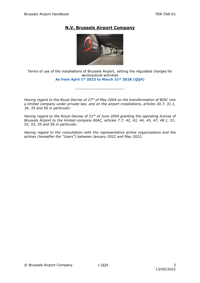## **N.V. Brussels Airport Company**



Terms of use of the installations of Brussels Airport, setting the regulated charges for aeronautical activities **As from April 1st 2023 to March 31st 2028 (QQ4)**

\_\_\_\_\_\_\_\_\_\_\_\_\_\_\_\_\_\_\_\_\_\_\_

*Having regard to the Royal Decree of 27th of May 2004 on the transformation of BIAC into a limited company under private law, and on the airport installations, articles 30.7, 31.1, 34, 35 and 56 in particular;*

*Having regard to the Royal Decree of 21th of June 2004 granting the operating license of Brussels Airport to the limited company BIAC, articles 7.7, 42, 43, 44, 45, 47, 48.1, 51, 52, 53, 55 and 56 in particular,*

*Having regard to the consultation with the representative airline organizations and the airlines (hereafter the "Users") between January 2022 and May 2022;*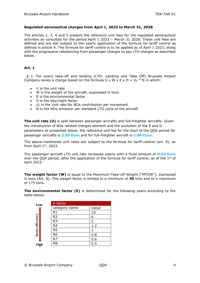### **Regulated aeronautical charges from April 1, 2023 to March 31, 2028**

The articles 1, 3, 4 and 5 present the reference unit fees for the regulated aeronautical activities as consulted for the period April 1 2023 – March 31 2028. These unit fees are defined and are still subject to the yearly application of the formula for tariff control as defined in article 9. The formula for tariff control is to be applied as of April 1 2023, along with the progressive rebalancing from passenger charges to pax LTO charges as described below.

### **Art. 1**

 § 1. For every take-off and landing (LTO: Landing and Take Off) Brussels Airport Company levies a charge based on the formula U x W x E x D +  $U_n * N$  in which:

- U is the unit rate
- W is the weight of the aircraft, expressed in tons
- E is the environmental factor
- D is the day/night factor
- $\bullet$  U<sub>n</sub> is the Unit rate for NO<sub>x</sub> contribution per movement
- N is the NOx emission per standard LTO cycle of the aircraft

**The unit rate (U)** is split between passenger aircrafts and full-freighter aircrafts. Given the introduction of NOx related charges element and the evolution of the E and D parameters as presented below, the reference unit fee for the start of the QQ4 period for passenger aircrafts is **2.58 Euro** and for full-freighter aircraft is **1.86 Euro**.

The above-mentioned unit rates are subject to the formula for tariff control (art. 9), as from April  $1<sup>st</sup>$ , 2023.

The passenger aircraft LTO unit rate increases yearly with a fixed amount of **0.52 Euro** over the QQ4 period, after the application of the formula for tariff control, as of the  $1<sup>st</sup>$  of April 2023.

**The weight factor (W)** is equal to the Maximum Take-off Weight ("MTOW"), expressed in tons (Art. 8). This weight factor is limited to a minimum of **40** tons and to a maximum of 175 tons.

**The environmental factor (E)** is determined for the following years according to the table below:

| Low              |  | E-factor       |                |  |  |  |
|------------------|--|----------------|----------------|--|--|--|
|                  |  | category name  | Value          |  |  |  |
|                  |  | R1             | 10             |  |  |  |
| Noise efficiency |  | R <sub>2</sub> | 6              |  |  |  |
|                  |  | R <sub>3</sub> | $\overline{2}$ |  |  |  |
|                  |  | R <sub>4</sub> | 1.2            |  |  |  |
|                  |  | R <sub>5</sub> |                |  |  |  |
|                  |  | R <sub>6</sub> | 0.8            |  |  |  |
|                  |  | R7             | 0.6            |  |  |  |
| High             |  | R <sub>8</sub> | 0.5            |  |  |  |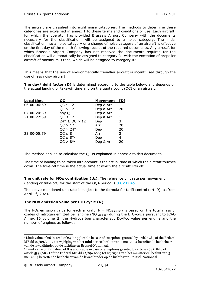The aircraft are classified into eight noise categories. The methods to determine these categories are explained in annex 1 to these terms and conditions of use. Each aircraft, for which the operator has provided Brussels Airport Company with the documents necessary for the classification, will be assigned to a noise category. The initial classification into a noise category or a change of noise category of an aircraft is effective on the first day of the month following receipt of the required documents. Any aircraft for which Brussels Airport Company has not received the documents required for the classification will automatically be assigned to category R1 with the exception of propeller aircraft of maximum 9 tons, which will be assigned to category R2.

This means that the use of environmentally friendlier aircraft is incentivised through the use of less noisy aircraft.

**The day/night factor (D)** is determined according to the table below, and depends on the actual landing or take-off time and on the quota count (QC) of an aircraft:

<span id="page-4-0"></span>

| <b>Local time</b> | ос                 | Movement  | TD1 |
|-------------------|--------------------|-----------|-----|
| 06:00-06:59       | $QC \leq 12$       | Dep & Arr | 1   |
|                   | QC > 12            | Dep & Arr | 20  |
| 07:00-20:59       | any QC             | Dep & Arr | 1   |
| 21:00-22:59       | $QC \leq 12$       | Dep & Arr | 1   |
|                   | $24*1 \ge QC > 12$ | Dep       | 3   |
|                   | QC > 12            | Arr       | 20  |
|                   | $QC > 24*1$        | Dep       | 20  |
| 23:00-05:59       | $QC \leq 8$        | Arr       | 3   |
|                   | $QC \le 8^{*2}$    | Dep       | 4   |
|                   | $QC > 8*2$         | Dep & Arr | 20  |

<span id="page-4-1"></span>The method applied to calculate the QC is explained in annex 2 to this document.

The time of landing to be taken into account is the actual time at which the aircraft touches down. The take-off time is the actual time at which the aircraft lifts off.

**The unit rate for NOx contribution (Un).** The reference unit rate per movement (landing or take-off) for the start of the QQ4 period is **3.67 Euro**.

The above-mentioned unit rate is subject to the formula for tariff control (art. 9), as from April 1st, 2023.

### **The NOx emission value per LTO cycle (N)**

The NO<sub>X</sub> emission value for each aircraft (N = NO<sub>x,aircraft</sub>) is based on the total mass of oxides of nitrogen emitted per engine (NOx,engine) during the LTO-cycle pursuant to ICAO Annex 16 volume II, the Hydrocarbon characteristic Dp/Foo value per engine and the number of engines as follows:

<sup>1</sup> Limit value of 26 instead of 24 is applicable in case of exceptions granted by article 4§3 of the Federal MB dd 27/09/2009 tot wijziging van het ministerieel besluit van 3 mei 2004 betreffende het beheer van de lawaaihinder op de luchthaven Brussel-Nationaal.

<sup>2</sup> Limit value of 12 instead of 8 is applicable in case of exceptions granted by article 4§4 (DEP) of article 5§3 (ARR) of the Federal MB dd 27/09/2009 tot wijziging van het ministerieel besluit van 3 mei 2004 betreffende het beheer van de lawaaihinder op de luchthaven Brussel-Nationaal.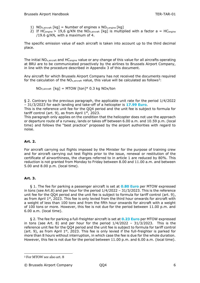- 1) NO<sub>X, aircraft</sub>  $\lceil kq \rceil$  = Number of engines x NO<sub>x, engine</sub>  $\lceil kq \rceil$
- 2) If HC<sub>engine</sub> > 19,6 g/KN the NO<sub>X,aircraft</sub> [kg] is multiplied with a factor a = HC<sub>engine</sub> /19.6 g/KN, with a maximum of 4.

The specific emission value of each aircraft is taken into account up to the third decimal place.

The initial  $NO_{x,aircraft}$  and  $HC_{engine}$  value or any change of this value for all aircrafts operating at BRU are to be communicated proactively by the airlines to Brussels Airport Company, in line with the procedure described in Appendix 3 of this document.

Any aircraft for which Brussels Airport Company has not received the documents required for the calculation of the NO<sub>x,aircraft</sub> value, this value will be calculated as follows<sup>3</sup>:

 $NO_{X,aircraft}$  [kg] = MTOW [ton]\* 0.3 kg NOx/ton

§ 2. Contrary to the previous paragraph, the applicable unit rate for the period 1/4/2022 – 31/3/2023 for each landing and take-off of a helicopter is **17.99 Euro**.

This is the reference unit fee for the QQ4 period and the unit fee is subject to formula for tariff control (art. 9), as from April  $1<sup>st</sup>$ , 2023.

This paragraph only applies on the condition that the helicopter does not use the approach or departure route of a runway, lands or takes off between 6.00 a.m. and 10.59 p.m. (local time) and follows the "best practice" proposed by the airport authorities with regard to noise.

### **Art. 2.**

For aircraft carrying out flights imposed by the Minister for the purpose of training crew and for aircraft carrying out test flights prior to the issue, renewal or restitution of the certificate of airworthiness, the charges referred to in article 1 are reduced by 80%. This reduction is not granted from Monday to Friday between 8.00 and 11.00 a.m. and between 5.00 and 8.00 p.m. (local time).

### **Art. 3.**

 § 1. The fee for parking a passenger aircraft is set at **0.80 Euro** per MTOW expressed in tons (see Art.8) and per hour for the period  $1/4/2022 - 31/3/2023$ . This is the reference unit fee for the QQ4 period and the unit fee is subject to formula for tariff control (art. 9), as from April  $1<sup>st</sup>$ , 2023. This fee is only levied from the third hour onwards for aircraft with a weight of less than 100 tons and from the fifth hour onwards for aircraft with a weight of 100 tons or more. However, this fee is not due for the period between 11.00 p.m. and 6.00 a.m. (local time).

 § 2. The fee for parking a full-freighter aircraft is set at **0.23 Euro** per MTOW expressed in tons (see Art. 8) and per hour for the period  $1/4/2022 - 31/3/2023$ . This is the reference unit fee for the QQ4 period and the unit fee is subject to formula for tariff control (art. 9), as from April  $1<sup>st</sup>$ , 2023. This fee is only levied if the full-freighter is parked for more than 8 hours without interruption, in which case the fee is due for the whole duration. However, this fee is not due for the period between 11.00 p.m. and 6.00 a.m. (local time).

<sup>3</sup> For MTOW see also art. 8

<sup>©</sup> Brussels Airport Company QQ4 6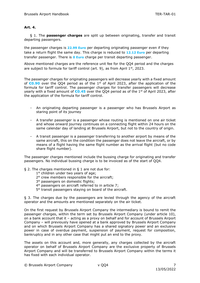### **Art. 4.**

 § 1. The **passenger charges** are split up between originating, transfer and transit departing passengers.

the passenger charges is **22.99 Euro** per departing originating passenger even if they take a return flight the same day. This charge is reduced to **12.12 Euro** per departing transfer passenger. There is **0 Euro** charge per transit departing passenger.

Above mentioned charges are the reference unit fee for the QQ4 period and the charges are subject to formula for tariff control (art. 9), as from April 1<sup>st</sup>, 2023.

The passenger charges for originating passengers will decrease yearly with a fixed amount of **€0.90** over the QQ4 period as of the 1st of April 2023, after the application of the formula for tariff control. The passenger charges for transfer passengers will decrease yearly with a fixed amount of **€0.45** over the QQ4 period as of the 1st of April 2023, after the application of the formula for tariff control.

- An originating departing passenger is a passenger who has Brussels Airport as staring point of its journey
- A transfer passenger is a passenger whose routing is mentioned on one air ticket and whose onward journey continues on a connecting flight within 24 hours on the same calendar day of landing at Brussels Airport, but not to the country of origin.
- A transit passenger is a passenger transferring to another airport by means of the same aircraft, this on the condition the passenger does not leave the aircraft, or by means of a flight having the same flight number as the arrival flight (but no code share flight number).

The passenger charges mentioned include the bussing charge for originating and transfer passengers. No individual bussing charge is to be invoiced as of the start of QQ4.

- § 2. The charges mentioned in § 1 are not due for:
	- 1° children under two years of age;
	- 2° crew members responsible for the aircraft;
	- 3° passengers on domestic flights;
	- 4° passengers on aircraft referred to in article 7;
	- 5° transit passengers staying on board of the aircraft.

§ 3. The charges due by the passengers are levied through the agency of the aircraft operator and the amounts are mentioned separately on the air ticket.

On the first request by Brussels Airport Company the intermediary is bound to remit the passenger charges, within the term set by Brussels Airport Company (under article 10), on a bank account that it – acting as a proxy on behalf and for account of Brussels Airport Company – will previously have opened at a bank approved by Brussels Airport Company and on which Brussels Airport Company has a shared signatory power and an exclusive power in case of overdue payment, suspension of payment, request for composition, bankruptcy and in any other case that might put an end to the proxy.

The assets on this account and, more generally, any charges collected by the aircraft operator on behalf of Brussels Airport Company are the exclusive property of Brussels Airport Company and will be transferred to Brussels Airport Company within the terms it has fixed with each individual operator.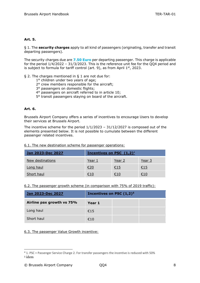### **Art. 5.**

§ 1. The **security charges** apply to all kind of passengers (originating, transfer and transit departing passengers).

The security charges due are **7.50 Euro** per departing passenger. This charge is applicable for the period 1/4/2022 – 31/3/2023. This is the reference unit fee for the QQ4 period and is subject to formula for tariff control (art. 9), as from April  $1<sup>st</sup>$ , 2023.

### § 2. The charges mentioned in § 1 are not due for:

- 1° children under two years of age;
- 2° crew members responsible for the aircraft;
- 3° passengers on domestic flights;
- 4° passengers on aircraft referred to in article 10;
- 5° transit passengers staying on board of the aircraft.

### **Art. 6.**

Brussels Airport Company offers a series of incentives to encourage Users to develop their services at Brussels Airport.

The incentive scheme for the period  $1/1/2023 - 31/12/2027$  is composed out of the elements presented below. It is not possible to cumulate between the different passenger related incentives.

6.1. The new destination scheme for passenger operations:

| Jan 2023-Dec 2027 | <b>Incentives on PSC</b> $(1,2)^4$ |            |            |
|-------------------|------------------------------------|------------|------------|
| New destinations  | Year 1                             | Year 2     | Year 3     |
| Long haul         |                                    | <u>€15</u> | <u>€15</u> |
| Short haul        | €10                                | €10        | €10        |

### 6.2. The passenger growth scheme (in comparison with 75% of 2019 traffic):

| Jan 2023-Dec 2027         | Incentives on PSC $(1,2)^5$ |  |
|---------------------------|-----------------------------|--|
| Airline pax growth vs 75% | Year 1                      |  |
| Long haul                 | €15                         |  |
| Short haul                | f(10)                       |  |

### 6.3. The passenger Value Growth incentive:

<sup>4</sup> 1. PSC = Passenger Service Charge 2. For transfer passengers the incentive is reduced with 50% <sup>5</sup> idem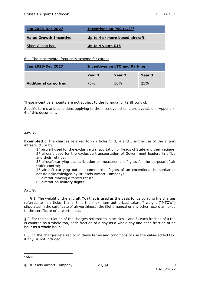| <b>Jan 2023-Dec 2027</b>      | Incentives on PSC $(1,2)^6$    |
|-------------------------------|--------------------------------|
| <b>Value Growth Incentive</b> | Up to 4 or more based aircraft |
| Short & long haul             | Up to 4 years $$15$            |

6.4. The incremental frequency scheme for cargo:

| Jan 2023-Dec 2027             | <b>Incentives on LTO and Parking</b> |        |        |
|-------------------------------|--------------------------------------|--------|--------|
|                               | Year 1                               | Year 2 | Year 3 |
| <b>Additional cargo freq.</b> | 75%                                  | 50%    | 25%    |

These incentive amounts are not subject to the formula for tariff control.

Specific terms and conditions applying to the incentive scheme are available in Appendix 4 of this document.

### **Art. 7.**

**Exempted** of the charges referred to in articles 1, 3, 4 and 5 is the use of the airport infrastructure by:

1° aircraft used for the exclusive transportation of Heads of State and their retinue; 2° aircraft used for the exclusive transportation of Government leaders in office and their retinue;

3° aircraft carrying out calibration or measurement flights for the purpose of air traffic control;

4° aircraft carrying out non-commercial flights of an exceptional humanitarian nature acknowledged by Brussels Airport Company;

5° aircraft making a forced return;

6° aircraft on military flights.

### **Art. 8.**

 § 1. The weight of the aircraft (W) that is used as the basis for calculating the charges referred to in articles 1 and 3, is the maximum authorized take-off weight ("MTOW") stipulated in the certificate of airworthiness, the flight manual or any other record annexed to the certificate of airworthiness.

§ 2. For the calculation of the charges referred to in articles 1 and 3, each fraction of a ton is counted as a whole ton, each fraction of a day as a whole day and each fraction of an hour as a whole hour.

§ 3. In the charges referred to in these terms and conditions of use the value-added tax, if any, is not included.

<sup>6</sup> idem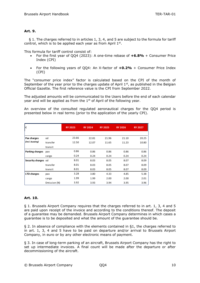### **Art. 9.**

 § 1. The charges referred to in articles 1, 3, 4, and 5 are subject to the formula for tariff control, which is to be applied each year as from April  $1<sup>st</sup>$ .

This formula for tariff control consist of:

- For the first year of QQ4 (2023): A one-time rebase of **+6.8%** + Consumer Price Index (CPI)
- For the following years of QQ4: An X-factor of **+0.2%** + Consumer Price Index (CPI)

The "consumer price index" factor is calculated based on the CPI of the month of September of the year prior to the charges update of April  $1<sup>st</sup>$ , as published in the Belgian Official Gazette. The first reference value is the CPI from September 2022.

The adjusted amounts will be communicated to the Users before the end of each calendar year and will be applied as from the  $1<sup>st</sup>$  of April of the following year.

An overview of the consulted regulated aeronautical charges for the QQ4 period is presented below in real terms (prior to the application of the yearly CPI).

| €                   |              | <b>RY 2023</b> | <b>RY 2024</b> | <b>RY 2025</b> | <b>RY 2026</b> | <b>RY 2027</b> |
|---------------------|--------------|----------------|----------------|----------------|----------------|----------------|
|                     |              |                |                |                |                |                |
| Pax charges         | od           | 23.66          | 22.81          | 21.96          | 21.10          | 20.25          |
| (incl. bussing)     | transfer     | 12.50          | 12.07          | 11.65          | 11.23          | 10.80          |
|                     | transit      |                |                |                |                |                |
| Parking charges     | pax          | 0.86           | 0.86           | 0.86           | 0.86           | 0.86           |
|                     | cargo        | 0.24           | 0.24           | 0.24           | 0.24           | 0.24           |
| Security charges od |              | 8.01           | 8.03           | 8.05           | 8.07           | 8.09           |
|                     | transfer     | 8.01           | 8.03           | 8.05           | 8.07           | 8.09           |
|                     | transit      | 8.01           | 8.03           | 8.05           | 8.07           | 8.09           |
| LTO charges         | pax          | 3.28           | 3.80           | 4.33           | 4.85           | 5.38           |
|                     | cargo        | 1.99           | 1.99           | 2.00           | 2.00           | 2.01           |
|                     | Emission (N) | 3.92           | 3.93           | 3.94           | 3.95           | 3.96           |

### **Art. 10.**

§ 1. Brussels Airport Company requires that the charges referred to in art. 1, 3, 4 and 5 are paid upon receipt of the invoice and according to the conditions thereof. The deposit of a guarantee may be demanded. Brussels Airport Company determines in which cases a guarantee is to be deposited and what the amount of the guarantee should be.

§ 2. In absence of compliance with the elements contained in §1, the charges referred to in art. 1, 3, 4 and 5 have to be paid on departure and/or arrival to Brussels Airport Company, in euro or by any other electronic means of payment.

§ 3. In case of long-term parking of an aircraft, Brussels Airport Company has the right to set up intermediate invoices. A final count will be made after the departure or after decommissioning of the aircraft.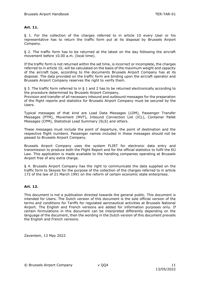### **Art. 11.**

§ 1. For the collection of the charges referred to in article 10 every User or his representative has to return the traffic form put at its disposal by Brussels Airport Company.

§ 2. The traffic form has to be returned at the latest on the day following the aircraft movement before 10.00 a.m. (local time).

If the traffic form is not returned within the set time, is incorrect or incomplete, the charges referred to in article 10, will be calculated on the basis of the maximum weight and capacity of the aircraft type, according to the documents Brussels Airport Company has at its disposal. The data provided on the traffic form are binding upon the aircraft operator and Brussels Airport Company reserves the right to verify them.

§ 3. The traffic form referred to in § 1 and 2 has to be returned electronically according to the procedure determined by Brussels Airport Company.

Provision and transfer of all necessary inbound and outbound messages for the preparation of the flight reports and statistics for Brussels Airport Company must be secured by the Users.

Typical messages of that kind are Load Data Messages (LDM), Passenger Transfer Messages (PTM), Movement (MVT), Inbound Connection List (ICL), Container Pallet Messages (CPM), Statistical Load Summary (SLS) and others.

These messages must include the point of departure, the point of destination and the respective flight numbers. Passenger names included in these messages should not be passed to Brussels Airport Company.

Brussels Airport Company uses the system FLIRT for electronic data entry and transmission to produce both the Flight Report and for the official statistics to fulfil the EU Law. This application is made available to the handling companies operating at Brussels Airport free of any extra charge.

§ 4. Brussels Airport Company has the right to communicate the data supplied on the traffic form to Skeyes for the purpose of the collection of the charges referred to in article 172 of the law of 21 March 1991 on the reform of certain economic state enterprises.

### **Art. 12.**

This document is not a publication directed towards the general public. This document is intended for Users. The Dutch version of this document is the sole official version of the terms and conditions for Tariffs for regulated aeronautical activities at Brussels National Airport. The English and French versions are added for information purposes only. If certain formulations in this document can be interpreted differently depending on the language of the document, then the wording in the Dutch version of this document prevails the English and French versions.

Zaventem, 13 May 2022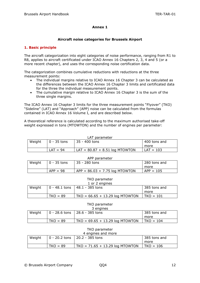### **Annex 1**

### **Aircraft noise categories for Brussels Airport**

### **1. Basic principle**

The aircraft categorization into eight categories of noise performance, ranging from R1 to R8, applies to aircraft certificated under ICAO Annex 16 Chapters 2, 3, 4 and 5 (or a more recent chapter), and uses the corresponding noise certification data.

The categorization combines cumulative reductions with reductions at the three measurement points:

- The individual margins relative to ICAO Annex 16 Chapter 3 can be calculated as the differences between the ICAO Annex 16 Chapter 3 limits and certificated data for the three the individual measurement points.
- The cumulative margin relative to ICAO Annex 16 Chapter 3 is the sum of the three single margins.

The ICAO Annex 16 Chapter 3 limits for the three measurement points "Flyover" (TKO) "Sideline" (LAT) and "Approach" (APP) noise can be calculated from the formulas contained in ICAO Annex 16 Volume I, and are described below.

A theoretical reference is calculated according to the maximum authorised take-off weight expressed in tons (MTOWTON) and the number of engines per parameter:

| LAT parameter |               |                                  |              |  |
|---------------|---------------|----------------------------------|--------------|--|
| Weight        | $0 - 35$ tons | 35 - 400 tons                    | 400 tons and |  |
|               |               |                                  | more         |  |
|               | $LAT = 94$    | $LAT = 80.87 + 8.51 log MTOWTON$ | $LAT = 103$  |  |

| APP parameter |                     |                                  |              |  |  |
|---------------|---------------------|----------------------------------|--------------|--|--|
| Weight        | $\vert$ 0 - 35 tons | 35 - 280 tons                    | 280 tons and |  |  |
|               |                     |                                  | more         |  |  |
|               | $APP = 98$          | $APP = 86.03 + 7.75 log MTOWTON$ | $APP = 105$  |  |  |

#### TKO parameter  $1 \text{ or } 2 \text{ on}$

| I OI Z EIIUIIIES |  |                                                                      |  |  |  |
|------------------|--|----------------------------------------------------------------------|--|--|--|
|                  |  | 385 tons and                                                         |  |  |  |
|                  |  | more                                                                 |  |  |  |
| $TKO = 89$       |  | $TKO = 101$                                                          |  |  |  |
|                  |  | 0 - 48.1 tons   48.1 - 385 tons<br>$TKO = 66.65 + 13.29$ log MTOWTON |  |  |  |

### TKO parameter

| 3 engines |            |                                     |              |  |  |
|-----------|------------|-------------------------------------|--------------|--|--|
| Weight    |            | $ 0 - 28.6$ tons $ 28.6 - 385$ tons | 385 tons and |  |  |
|           |            |                                     | more         |  |  |
|           | $TKO = 89$ | $TKO = 69.65 + 13.29$ log MTOWTON   | $TKO = 104$  |  |  |

### TKO parameter 4 engines and more

| Weight |            | $ 0 - 20.2 \text{ tons}   20.2 - 385 \text{ tons}$ | 385 tons and |
|--------|------------|----------------------------------------------------|--------------|
|        |            |                                                    | more         |
|        | $TKO = 89$ | $TKO = 71.65 + 13.29$ log MTOWTON                  | TKO = 106    |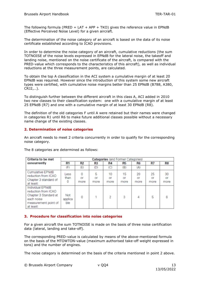The following formula (PRED = LAT + APP + TKO) gives the reference value in EPNdB (Effective Perceived Noise Level) for a given aircraft.

The determination of the noise category of an aircraft is based on the data of its noise certificate established according to ICAO provisions.

In order to determine the noise category of an aircraft, cumulative reductions (the sum TOTNOISE of the noise levels expressed in EPNdB for the lateral noise, the takeoff and landing noise, mentioned on the noise certificate of the aircraft, is compared with the PRED-value which corresponds to the characteristics of this aircraft), as well as individual reductions at the three measurement points, are calculated.

To obtain the top A classification in the ACI system a cumulative margin of at least 20 EPNdB was required. However since the introduction of this system some new aircraft types were certified, with cumulative noise margins better than 25 EPNdB (B788, A380, CRJ2,…).

To distinguish further between the different aircraft in this class A, ACI added in 2010 two new classes to their classification system: one with a cumulative margin of at least 25 EPNdB (R7) and one with a cumulative margin of at least 30 EPNdB (R8).

The definition of the old categories F until A were retained but their names were changed in categories R1 until R6 to make future additional classes possible without a necessary name change of the existing classes.

### **2. Determination of noise categories**

An aircraft needs to meet 2 criteria concurrently in order to qualify for the corresponding noise category.

| <b>Criteria to be met</b>                                                                                           | <b>Categories</b> (and Former Categories) |                 |                 |                  |                  |                  |                  |                  |
|---------------------------------------------------------------------------------------------------------------------|-------------------------------------------|-----------------|-----------------|------------------|------------------|------------------|------------------|------------------|
| concurrently                                                                                                        | <b>R1</b>                                 | R <sub>2</sub>  | R <sub>3</sub>  | <b>R4</b>        | R <sub>5</sub>   | <b>R6</b>        | R7               | R <sub>8</sub>   |
|                                                                                                                     | (F)                                       | (E)             | (D)             | (C)              | (B)              | (A)              |                  |                  |
| Cumulative EPNdB<br>reduction from ICAO<br>Chapter 3 standard of<br>at least:                                       | Less<br>than<br>0                         | 0<br>Of<br>more | 5<br>or<br>more | 10<br>Oľ<br>more | 15<br>or<br>more | 20<br>Of<br>more | 25<br>or<br>more | 30<br>Of<br>more |
| Individual EPNdB<br>reduction from ICAO<br>Chapter 3 Standard at<br>each noise<br>measurement point of<br>at least: | Not<br>applica<br>ble                     | 0               |                 | $\overline{c}$   | 3                | 4                | 5                | 6                |

The 8 categories are determined as follows:

### **3. Procedure for classification into noise categories**

For a given aircraft the sum TOTNOISE is made on the basis of three noise certification data (lateral, landing and take-off).

The corresponding PRED-value is calculated by means of the above-mentioned formula on the basis of the MTOWTON-value (maximum authorised take-off weight expressed in tons) and the number of engines.

The noise category is determined on the basis of the criteria mentioned in point 2 above.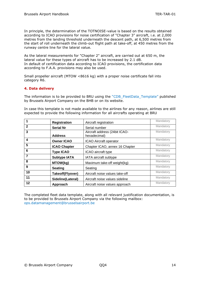In principle, the determination of the TOTNOISE-value is based on the results obtained according to ICAO provisions for noise certification of "Chapter 3" aircraft, i.e. at 2,000 metres from the landing threshold underneath the descent path, at 6,500 metres from the start of roll underneath the climb-out flight path at take-off, at 450 metres from the runway centre line for the lateral value.

As the lateral measurements for "Chapter 2" aircraft, are carried out at 650 m, the lateral value for these types of aircraft has to be increased by 2.1 dB. In default of certification data according to ICAO provisions, the certification data according to F.A.A. provisions may also be used.

Small propeller aircraft (MTOW <8616 kg) with a proper noise certificate fall into category R6.

### **4. Data delivery**

The information is to be provided to BRU using the "CDB\_FleetData\_Template" published by Brussels Airport Company on the BHB or on its website.

In case this template is not made available to the airlines for any reason, airlines are still expected to provide the following information for all aircrafts operating at BRU

| 1              | <b>Registration</b> | Aircraft registration                         | Mandatory |
|----------------|---------------------|-----------------------------------------------|-----------|
| $\overline{2}$ | <b>Serial Nr</b>    | Serial number                                 | Mandatory |
| 3              | <b>Address</b>      | Aircraft address (24bit ICAO-<br>hexadecimal) | Mandatory |
| 4              | <b>Owner ICAO</b>   | <b>ICAO Aircraft operator</b>                 | Mandatory |
| 5              | <b>ICAO Chapter</b> | Chapter ICAO, annex 16 Chapter                | Mandatory |
| 6              | <b>Type ICAO</b>    | ICAO aircraft type                            | Mandatory |
| $\overline{7}$ | <b>Subtype IATA</b> | IATA aircraft subtype                         | Mandatory |
| 8              | MTOW(kg)            | Maximum take-off weight(kg)                   | Mandatory |
| 9              | <b>Seating</b>      | Seating                                       | Mandatory |
| 10             | Takeoff(Flyover)    | Aircraft noise values take-off                | Mandatory |
| 11             | Sideline(Lateral)   | Aircraft noise values sideline                | Mandatory |
| 12             | Approach            | Aircraft noise values approach                | Mandatory |

The completed fleet data template, along with all relevant justification documentation, is to be provided to Brussels Airport Company via the following mailbox: ops.datamanagement@brusselsairport.be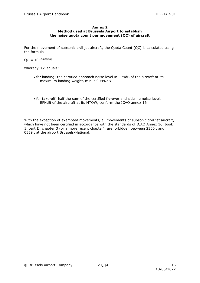### **Annex 2 Method used at Brussels Airport to establish the noise quota count per movement (QC) of aircraft**

For the movement of subsonic civil jet aircraft, the Quota Count (QC) is calculated using the formula

 $OC = 10^{[(G-85)/10]}$ 

whereby "G" equals:

- for landing: the certified approach noise level in EPNdB of the aircraft at its maximum landing weight, minus 9 EPNdB
- for take-off: half the sum of the certified fly-over and sideline noise levels in EPNdB of the aircraft at its MTOW, conform the ICAO annex 16

With the exception of exempted movements, all movements of subsonic civil jet aircraft, which have not been certified in accordance with the standards of ICAO Annex 16, book 1, part II, chapter 3 (or a more recent chapter), are forbidden between 2300lt and 0559lt at the airport Brussels-National.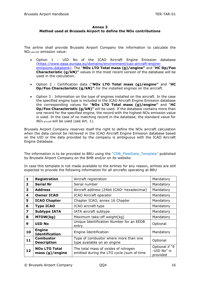### **Annex 3 Method used at Brussels Airport to define the NOx contributions**

The airline shall provide Brussels Airport Company the information to calculate the NOx,aircraft emission value:

- Option 1 : UID No of the ICAO Aircraft Engine Emission database [\(https://www.easa.europa.eu/domains/environment/icao-aircraft-engine](https://www.easa.europa.eu/domains/environment/icao-aircraft-engine-emissions-databank)[emissions-databank\)](https://www.easa.europa.eu/domains/environment/icao-aircraft-engine-emissions-databank). The "**NOx LTO Total mass (g)/engine"** and "**HC Dp/Foo Characteristic (g/kN)"** values in the most recent version of the database will be used in the calculation.
- Option 2 : Certification data ("**NOx LTO Total mass (g)/engine"** and "**HC Dp/Foo Characteristic (g/kN)"**) for the installed engines on the aircraft.
- Option 3 : Information on the type of engines installed on the aircraft. In the case the specified engine type is included in the ICAO Aircraft Engine Emission database the corresponding values for "**NOx LTO Total mass (g)/engine"** and "**HC Dp/Foo Characteristic (g/kN)"** will be used. If the database contains more than one record for the specified engine, the record with the highest NOx emission value is used. In the case of no matching record in the database, the standard value for *NOX,aircraft* will be used (see Art. 1).

Brussels Airport Company reserves itself the right to define the NOx aircraft calculation when the data cannot be retrieved in the ICAO Aircraft Engine Emission database based on the UID or the data provided by the company is ambiguous with the ICAO Aircraft Engine Database.

The information is to be provided to BRU using the "CDB\_FleetData\_Template" published by Brussels Airport Company on the BHB and/or on its website.

In case this template is not made available to the airlines for any reason, airlines are still expected to provide the following information for all aircrafts operating at BRU

| $\mathbf{1}$ | <b>Registration</b>                        | Aircraft registration                                                             | Mandatory                                 |
|--------------|--------------------------------------------|-----------------------------------------------------------------------------------|-------------------------------------------|
| $\mathbf{2}$ | <b>Serial Nr</b>                           | Serial number                                                                     | Mandatory                                 |
| 3            | <b>Address</b>                             | Aircraft address (24bit ICAO- hexadecimal)                                        | Mandatory                                 |
| 4            | <b>Owner ICAO</b>                          | ICAO Aircraft operator                                                            | Mandatory                                 |
| 5            | <b>ICAO Chapter</b>                        | Chapter ICAO, annex 16 Chapter                                                    | Mandatory                                 |
| 6            | <b>Type ICAO</b>                           | ICAO aircraft type                                                                | Mandatory                                 |
| 7            | <b>Subtype IATA</b>                        | IATA aircraft subtype                                                             | Mandatory                                 |
| 8            | MTOW(kg)                                   | Maximum take-off weight(kg)                                                       | Mandatory                                 |
| 9            | <b>UID No</b>                              | Unique Identification Number for an EEDB<br>entry                                 | Optional                                  |
| 10           | <b>Engine</b><br><b>Identification</b>     | Engine Identification                                                             | Mandatory                                 |
| 11           | <b>Combustor</b><br><b>Description</b>     | Type of combustor where more than one<br>type available on an engine              | Optional                                  |
| 12           | <b>NOx LTO Total</b><br>mass $(g)/$ engine | The total mass of oxides of nitrogen<br>emitted during the LTO cycle (sum of time | Optional if "9<br>-UID No" is<br>provided |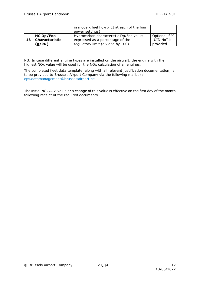|    |                       | in mode x fuel flow x EI at each of the four |                |
|----|-----------------------|----------------------------------------------|----------------|
|    |                       | power settings)                              |                |
|    | <b>HC Dp/Foo</b>      | Hydrocarbon characteristic Dp/Foo value      | Optional if "9 |
| 13 | <b>Characteristic</b> | expressed as a percentage of the             | -UID No" is    |
|    | (g/kN)                | regulatory limit (divided by 100)            | provided       |

NB: In case different engine types are installed on the aircraft, the engine with the highest NOx value will be used for the NOx calculation of all engines.

The completed fleet data template, along with all relevant justification documentation, is to be provided to Brussels Airport Company via the following mailbox: ops.datamanagement@brusselsairport.be

The initial NO<sub>x, aircraft</sub> value or a change of this value is effective on the first day of the month following receipt of the required documents.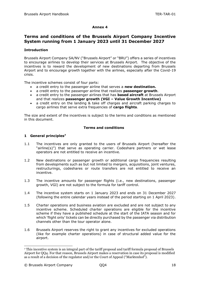### **Annex 4**

### **Terms and conditions of the Brussels Airport Company Incentive System running from 1 January 2023 until 31 December 2027**

### **Introduction**

Brussels Airport Company SA/NV ("Brussels Airport" or "BRU") offers a series of incentives to encourage airlines to develop their services at Brussels Airport. The objective of the incentives is to reward the development of new destinations departing from Brussels Airport and to encourage growth together with the airlines, especially after the Covid-19 crisis.

The incentive schemes consist of four parts:

- a credit entry to the passenger airline that serves a **new destination.**
- a credit entry to the passenger airline that realizes **passenger growth**.
- a credit entry to the passenger airlines that has **based aircraft** at Brussels Airport and that realizes **passenger growth (VGI – Value Growth Incentive)**
- a credit entry on the landing & take off charges and aircraft parking charges to cargo airlines that serve extra frequencies of **cargo flights**.

The size and extent of the incentives is subject to the terms and conditions as mentioned in this document.

### **Terms and conditions**

### **1 General principles<sup>7</sup>**

- 1.1 The incentives are only granted to the users of Brussels Airport (hereafter the "airline(s)") that serve as operating carrier. Codeshare partners or wet lease operators are not entitled to receive an incentive.
- 1.2 New destinations or passenger growth or additional cargo frequencies resulting from developments such as but not limited to mergers, acquisitions, joint ventures, restructurings, codeshares or route transfers are not entitled to receive an incentive.
- 1.3 The incentive amounts for passenger flights (i.e., new destinations, passenger growth, VGI) are not subject to the formula for tariff control.
- 1.4 The incentive system starts on 1 January 2023 and ends on 31 December 2027 (following the entire calendar years instead of the period starting on 1 April 2023).
- 1.5 Charter operations and business aviation are excluded and are not subject to any incentive scheme. Scheduled charter operations are eligible for the incentive scheme if they have a published schedule at the start of the IATA season and for which 'flight only' tickets can be directly purchased by the passenger via distribution channels other than the tour operator alone.
- 1.6 Brussels Airport reserves the right to grant any incentives for excluded operations (like for example charter operations) in case of structural added value for the airport.

<sup>7</sup> This incentive system is an integral part of the tariff proposal and tariff formula proposal of Brussels Airport for QQ4. For that reason, Brussels Airport makes a reservation in case its proposal is modified as a result of a decision of the regulator and/or the Court of Appeal ("Marktenhof").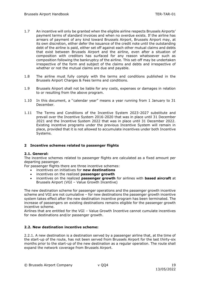- 1.7 An incentive will only be granted when the eligible airline respects Brussels Airports' payment terms of standard invoices and when no overdue exists. If the airline has arrears of payment of any kind toward Brussels Airport, Brussels Airport may, at its own discretion, either defer the issuance of the credit note until the outstanding debt of the airline is paid, either set off against each other mutual claims and debts that exist between Brussels Airport and the airline, even after a situation of composition with creditors has surfaced for any reason whatsoever such as composition following the bankruptcy of the airline. This set-off may be undertaken irrespective of the form and subject of the claims and debts and irrespective of whether or not the mutual claims are due and payable.
- 1.8 The airline must fully comply with the terms and conditions published in the Brussels Airport Charges & Fees terms and conditions.
- 1.9 Brussels Airport shall not be liable for any costs, expenses or damages in relation to or resulting from the above program.
- 1.10 In this document, a ''calendar year" means a year running from 1 January to 31 December.
- 1.11 The Terms and Conditions of the Incentive System 2023-2027 substitute and prevail over the Incentive System 2016-2020 that was in place until 31 December 2021 and the Incentive System 2022 that was in place until 31 December 2022. Existing incentive programs under the previous Incentive System will remain in place, provided that it is not allowed to accumulate incentives under both Incentive Systems.

### **2 Incentive schemes related to passenger flights**

### **2.1. General:**

The incentive schemes related to passenger flights are calculated as a fixed amount per departing passenger.

For passenger flights there are three incentive schemes:

- incentives on initiatives for **new destinations**
- incentives on the realized **passenger growth**
- incentives on the realized **passenger growth** for airlines with **based aircraft** at Brussels Airport (VGI – Value Growth Incentive)

The new destination scheme for passenger operations and the passenger growth incentive scheme and VGI are not cumulative – for new destinations the passenger growth incentive system takes effect after the new destination incentive program has been terminated. The increase of passengers on existing destinations remains eligible for the passenger growth incentive scheme.

Airlines that are entitled for the VGI – Value Growth Incentive cannot cumulate incentives for new destinations and/or passenger growth.

### **2.2. New destination incentive scheme:**

2.2.1. A new destination is a destination served by a passenger airline that, at the time of the start-up of the route, has not been served from Brussels Airport for the last thirty-six months prior to the start-up of the new destination as a regular operation. The route shall expand the network coverage from Brussels Airport.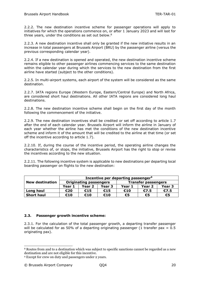2.2.2. The new destination incentive scheme for passenger operations will apply to initiatives for which the operations commence on, or after 1 January 2023 and will last for three years, under the conditions as set out below.<sup>8</sup>

2.2.3. A new destination incentive shall only be granted if the new initiative results in an increase in total passengers at Brussels Airport (BRU) by the passenger airline (versus the previous corresponding calendar year).

2.2.4. If a new destination is opened and operated, the new destination incentive scheme remains eligible to other passenger airlines commencing services to the same destination within the calendar year during which the services to the new destination from the first airline have started (subject to the other conditions).

2.2.5. In multi-airport systems, each airport of the system will be considered as the same destination.

2.2.7. IATA regions Europe (Western Europe, Eastern/Central Europe) and North Africa, are considered short haul destinations. All other IATA regions are considered long haul destinations.

2.2.8. The new destination incentive scheme shall begin on the first day of the month following the commencement of the initiative.

2.2.9. The new destination incentives shall be credited or set off according to article 1.7 after the end of each calendar year. Brussels Airport will inform the airline in January of each year whether the airline has met the conditions of the new destination incentive scheme and inform it of the amount that will be credited to the airline at that time (or set off the incentive according to article 1.7).

2.2.10. If, during the course of the incentive period, the operating airline changes the characteristics of, or stops, the initiative, Brussels Airport has the right to stop or revise the incentives according to the new situation.

2.2.11. The following incentive system is applicable to new destinations per departing local boarding passenger on flights to the new destination:

|                        | Incentive per departing passenger <sup>9</sup> |                            |     |                            |        |        |  |
|------------------------|------------------------------------------------|----------------------------|-----|----------------------------|--------|--------|--|
| <b>New destination</b> | <b>Originating passengers</b>                  |                            |     | <b>Transfer passengers</b> |        |        |  |
|                        | Year 1                                         | Year 2<br>Year 3<br>Year 1 |     |                            | Year 2 | Year 3 |  |
| Long haul              | €20                                            | €15                        | €15 | €10                        | €7.5   | €7.5   |  |
| <b>Short haul</b>      | €10                                            | €10                        | €10 | €5                         | €5     | €5     |  |

### **2.3. Passenger growth incentive scheme:**

2.3.1. For the calculation of the total passenger growth, a departing transfer passenger will be calculated for as 50% of a departing originating passenger (1 transfer pax =  $0.5$ ) originating pax).

<sup>8</sup> Routes from and to a destination which was subject to specific sanctions cannot be regarded as a new destination and are not eligible for this incentive.

<sup>9</sup> Except for crew on duty and passengers under 2 years.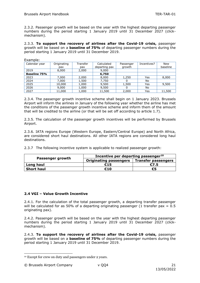2.3.2. Passenger growth will be based on the year with the highest departing passenger numbers during the period starting 1 January 2019 until 31 December 2027 (clickmechanism).

2.3.3. **To support the recovery of airlines after the Covid-19 crisis,** passenger growth will be based on a **baseline of 75%** of departing passenger numbers during the period starting 1 January 2019 until 31 December 2019.

| Calendar year       | Originating | <b>Transfer</b> | Calculated    | Passenger | Incentives? | <b>New</b> |
|---------------------|-------------|-----------------|---------------|-----------|-------------|------------|
|                     | pax         | pax             | departing pax | growth    |             | baseline   |
| 2019                | 8,000       | 2,000           | 9,000         |           |             |            |
| <b>Baseline 75%</b> |             |                 | 6,750         |           |             |            |
| 2023                | 7,000       | 2,000           | 8,000         | 1,250     | Yes         | 8,000      |
| 2024                | 7,000       | 1,500           | 7,750         | 0         | No          |            |
| 2025                | 10,000      | 1,000           | 9,500         | 1,500     | Yes         | 9,500      |
| 2026                | 9,000       | 1,000           | 9,500         | 0         | No          |            |
| 2027                | 11,000      | 1,000           | 11,500        | 2,000     | Yes         | 11,500     |

2.3.4. The passenger growth incentive scheme shall begin on 1 January 2023. Brussels Airport will inform the airlines in January of the following year whether the airline has met the conditions of the passenger growth incentive scheme and inform them of the amount that will be credited to the airline (or that will be set off according to article 1.7).

2.3.5. The calculation of the passenger growth incentives will be performed by Brussels Airport.

2.3.6. IATA regions Europe (Western Europe, Eastern/Central Europe) and North Africa, are considered short haul destinations. All other IATA regions are considered long haul destinations.

2.3.7 The following incentive system is applicable to realized passenger growth:

|                   | Incentive per departing passenger <sup>10</sup> |                            |  |  |  |
|-------------------|-------------------------------------------------|----------------------------|--|--|--|
| Passenger growth  | <b>Originating passengers</b>                   | <b>Transfer passengers</b> |  |  |  |
| Long haul         | €15                                             | €7.5                       |  |  |  |
| <b>Short haul</b> | €10                                             | €5                         |  |  |  |

### **2.4 VGI – Value Growth Incentive**

2.4.1. For the calculation of the total passenger growth, a departing transfer passenger will be calculated for as 50% of a departing originating passenger (1 transfer pax =  $0.5$ ) originating pax).

2.4.2. Passenger growth will be based on the year with the highest departing passenger numbers during the period starting 1 January 2019 until 31 December 2027 (clickmechanism).

2.4.3. **To support the recovery of airlines after the Covid-19 crisis,** passenger growth will be based on a **baseline of 75%** of departing passenger numbers during the period starting 1 January 2019 until 31 December 2019.

<sup>10</sup> Except for crew on duty and passengers under 2 years.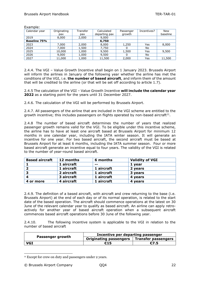| Calendar year       | Originating<br>pax | Transfer<br>pax | Calculated<br>departing pax | Incentives?<br>Passenger<br>growth |     | <b>New</b><br>baseline |
|---------------------|--------------------|-----------------|-----------------------------|------------------------------------|-----|------------------------|
| 2019                | 8,000              | 2,000           | 9,000                       |                                    |     |                        |
| <b>Baseline 75%</b> |                    |                 | 6,750                       |                                    |     |                        |
| 2023                | 7.000              | 2,000           | 8,000                       | 1,250                              | Yes | 8,000                  |
| 2024                | 7,000              | 1,500           | 7,750                       | 0                                  | No  |                        |
| 2025                | 10,000             | 1,000           | 9,500                       | 1,500                              | Yes | 9,500                  |
| 2026                | 9,000              | 1,000           | 9,500                       | 0                                  | No  |                        |
| 2027                | 11,000             | 1,000           | 11,500                      | 2,000                              | Yes | 11,500                 |

Example:

2.4.4. The VGI – Value Growth Incentive shall begin on 1 January 2023. Brussels Airport will inform the airlines in January of the following year whether the airline has met the conditions of the VGI, i.e. **the number of based aircraft**, and inform them of the amount that will be credited to the airline (or that will be set off according to article 1.7).

2.4.5 The calculation of the VGI – Value Growth Incentive **will include the calendar year 2022** as a starting point for the years until 31 December 2027.

2.4.6. The calculation of the VGI will be performed by Brussels Airport.

2.4.7. All passengers of the airline that are included in the VGI scheme are entitled to the growth incentive; this includes passengers on flights operated by non-based aircraft $^{11}$ .

2.4.8 The number of based aircraft determines the number of years that realized passenger growth remains valid for the VGI. To be eligible under this incentive scheme, the airline has to have at least one aircraft based at Brussels Airport for minimum 12 months in one calendar year, including the IATA winter season. It will generate an incentive for one year. For two based aircraft, the second aircraft must be based at Brussels Airport for at least 6 months, including the IATA summer season. Four or more based aircraft generate an incentive equal to four years. The validity of the VGI is related to the number of year-round based aircraft.

| <b>Based aircraft</b> | 12 months  | 6 months   | <b>Validity of VGI</b> |
|-----------------------|------------|------------|------------------------|
|                       | 1 aircraft | --         | 1 year                 |
|                       | 1 aircraft | 1 aircraft | 2 years                |
| З                     | 2 aircraft | 1 aircraft | 3 years                |
|                       | 3 aircraft | 1 aircraft | 4 years                |
| 4 or more             | 4 aircraft | 1 aircraft | 4 years                |

2.4.9. The definition of a based aircraft, with aircraft and crew returning to the base (i.e. Brussels Airport) at the end of each day or of its normal operation, is related to the start date of the based operation. The aircraft should commence operations at the latest on 30 June of the relevant calendar year to qualify as based aircraft. An airline can apply retroactively for another year of based aircraft operation when a subsequent aircraft commences based aircraft operations before 30 June of the following year.

2.4.10. The following incentive system is applicable to the VGI in relation to the number of based aircraft

|                  | Incentive per departing passenger |                     |  |  |
|------------------|-----------------------------------|---------------------|--|--|
| Passenger growth | <b>Originating passengers</b>     | Transfer passengers |  |  |
| <b>VGI</b>       | €15                               | €7.5                |  |  |

<sup>&</sup>lt;sup>11</sup> Except for crew on duty and passengers under 2 years.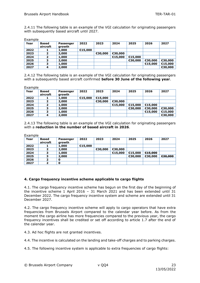2.4.11 The following table is an example of the VGI calculation for originating passengers with subsequently based aircraft until 2027.

| amble: |  |
|--------|--|
|--------|--|

| Year | Based<br>aircraft | Passenger<br>growth | 2022    | 2023    | 2024    | 2025    | 2026    | 2027    |
|------|-------------------|---------------------|---------|---------|---------|---------|---------|---------|
| 2022 |                   | 1,000               | €15,000 |         |         |         |         |         |
| 2023 |                   | 2,000               |         | €30,000 | €30,000 |         |         |         |
| 2024 |                   | 1,000               |         |         | €15,000 | €15,000 |         |         |
| 2025 |                   | 2,000               |         |         |         | €30,000 | €30,000 | €30,000 |
| 2026 | ∍                 | 1,000               |         |         |         |         | €15,000 | €15,000 |
| 2027 |                   | 2,000               |         |         |         |         |         | €30,000 |

2.4.12 The following table is an example of the VGI calculation for originating passengers with a subsequently based aircraft confirmed **before 30 June of the following year**.

**Example** 

| Year | Based<br>aircraft | Passenger<br>growth | 2022    | 2023    | 2024    | 2025    | 2026    | 2027    |
|------|-------------------|---------------------|---------|---------|---------|---------|---------|---------|
| 2022 |                   | 1,000               | €15,000 | €15,000 |         |         |         |         |
| 2023 |                   | 2,000               |         | €30,000 | €30,000 |         |         |         |
| 2024 |                   | 1,000               |         |         | €15,000 | €15,000 | €15,000 |         |
| 2025 |                   | 2,000               |         |         |         | €30,000 | €30,000 | €30,000 |
| 2026 | -                 | 1,000               |         |         |         |         | €15,000 | €15,000 |
| 2027 | 4                 | 2,000               |         |         |         |         |         | €30,000 |

2.4.13 The following table is an example of the VGI calculation for originating passengers with a **reduction in the number of based aircraft in 2026**.

| kamble |
|--------|
|--------|

| Year | <b>Based</b><br>aircraft | Passenger<br>growth | 2022    | 2023    | 2024    | 2025    | 2026    | 2027    |
|------|--------------------------|---------------------|---------|---------|---------|---------|---------|---------|
| 2022 |                          | 1,000               | €15,000 |         |         |         |         |         |
| 2023 |                          | 2,000               |         | €30,000 | €30,000 |         |         |         |
| 2024 |                          | 1,000               |         |         | €15,000 | €15,000 | €15,000 |         |
| 2025 |                          | 2,000               |         |         |         | €30,000 | €30,000 | €30,000 |
| 2026 |                          |                     |         |         |         |         |         |         |
| 2027 |                          | O                   |         |         |         |         |         |         |

### **4. Cargo frequency incentive scheme applicable to cargo flights**

4.1. The cargo frequency incentive scheme has begun on the first day of the beginning of the incentive scheme 1 April 2016 – 31 March 2021 and has been extended until 31 December 2022. The cargo frequency incentive system and scheme are extended until 31 December 2027.

4.2. The cargo frequency incentive scheme will apply to cargo operators that have extra frequencies from Brussels Airport compared to the calendar year before. As from the moment the cargo airline has more frequencies compared to the previous year, the cargo frequency incentives shall be credited or set off according to article 1.7 after the end of the calendar year.

4.3. Ad hoc flights are not granted incentives.

4.4. The incentive is calculated on the landing and take-off charges and to parking charges.

4.5. The following incentive system is applicable to extra frequencies of cargo flights: